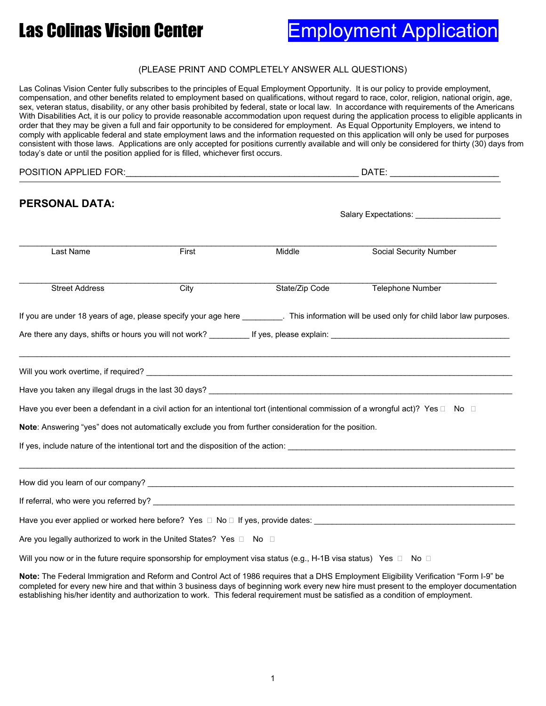# Las Colinas Vision Center **Employment Application**

#### (PLEASE PRINT AND COMPLETELY ANSWER ALL QUESTIONS)

Las Colinas Vision Center fully subscribes to the principles of Equal Employment Opportunity. It is our policy to provide employment, compensation, and other benefits related to employment based on qualifications, without regard to race, color, religion, national origin, age, sex, veteran status, disability, or any other basis prohibited by federal, state or local law. In accordance with requirements of the Americans With Disabilities Act, it is our policy to provide reasonable accommodation upon request during the application process to eligible applicants in order that they may be given a full and fair opportunity to be considered for employment. As Equal Opportunity Employers, we intend to comply with applicable federal and state employment laws and the information requested on this application will only be used for purposes consistent with those laws. Applications are only accepted for positions currently available and will only be considered for thirty (30) days from today's date or until the position applied for is filled, whichever first occurs.

| POSITION APPLIED FOR:                                                                                            |       | DATE: the contract of the contract of the contract of the contract of the contract of the contract of the contract of the contract of the contract of the contract of the contract of the contract of the contract of the cont |                                                                                                                                             |  |  |
|------------------------------------------------------------------------------------------------------------------|-------|--------------------------------------------------------------------------------------------------------------------------------------------------------------------------------------------------------------------------------|---------------------------------------------------------------------------------------------------------------------------------------------|--|--|
| <b>PERSONAL DATA:</b>                                                                                            |       | Salary Expectations: University of Salary Expectations:                                                                                                                                                                        |                                                                                                                                             |  |  |
| Last Name                                                                                                        | First | Middle                                                                                                                                                                                                                         | <b>Social Security Number</b>                                                                                                               |  |  |
| <b>Street Address</b>                                                                                            | City  | State/Zip Code                                                                                                                                                                                                                 | <b>Telephone Number</b>                                                                                                                     |  |  |
|                                                                                                                  |       |                                                                                                                                                                                                                                | If you are under 18 years of age, please specify your age here __________. This information will be used only for child labor law purposes. |  |  |
|                                                                                                                  |       |                                                                                                                                                                                                                                |                                                                                                                                             |  |  |
|                                                                                                                  |       |                                                                                                                                                                                                                                |                                                                                                                                             |  |  |
|                                                                                                                  |       |                                                                                                                                                                                                                                |                                                                                                                                             |  |  |
|                                                                                                                  |       |                                                                                                                                                                                                                                | Have you ever been a defendant in a civil action for an intentional tort (intentional commission of a wrongful act)? Yes $\Box$ No $\Box$   |  |  |
| Note: Answering "yes" does not automatically exclude you from further consideration for the position.            |       |                                                                                                                                                                                                                                |                                                                                                                                             |  |  |
|                                                                                                                  |       |                                                                                                                                                                                                                                | If yes, include nature of the intentional tort and the disposition of the action:                                                           |  |  |
|                                                                                                                  |       |                                                                                                                                                                                                                                |                                                                                                                                             |  |  |
|                                                                                                                  |       |                                                                                                                                                                                                                                |                                                                                                                                             |  |  |
|                                                                                                                  |       |                                                                                                                                                                                                                                | Have you ever applied or worked here before? Yes □ No □ If yes, provide dates: _____________________                                        |  |  |
| Are you legally authorized to work in the United States? Yes □ No □                                              |       |                                                                                                                                                                                                                                |                                                                                                                                             |  |  |
| Will you now or in the future require sponsorship for employment visa status (e.g., H-1B visa status) Yes □ No □ |       |                                                                                                                                                                                                                                |                                                                                                                                             |  |  |

**Note:** The Federal Immigration and Reform and Control Act of 1986 requires that a DHS Employment Eligibility Verification "Form I-9" be completed for every new hire and that within 3 business days of beginning work every new hire must present to the employer documentation establishing his/her identity and authorization to work. This federal requirement must be satisfied as a condition of employment.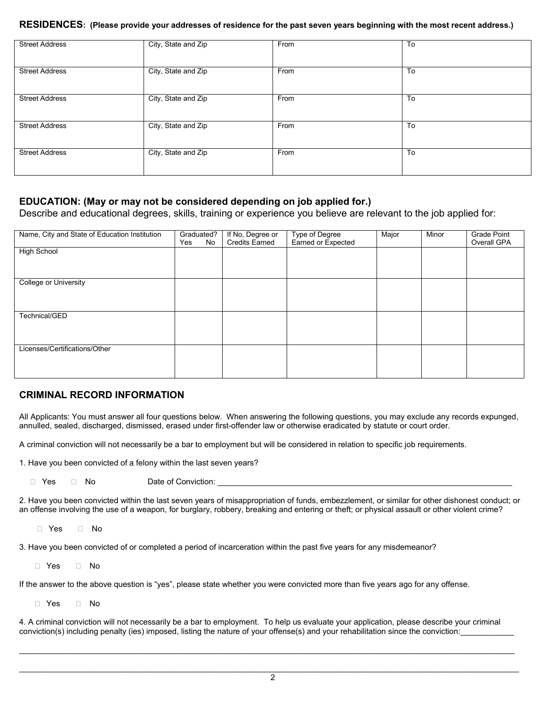#### **RESIDENCES: (Please provide your addresses of residence for the past seven years beginning with the most recent address.)**

| <b>Street Address</b> | City, State and Zip | From | To |
|-----------------------|---------------------|------|----|
| <b>Street Address</b> | City, State and Zip | From | To |
| <b>Street Address</b> | City, State and Zip | From | To |
| <b>Street Address</b> | City, State and Zip | From | To |
| <b>Street Address</b> | City, State and Zip | From | To |

#### **EDUCATION: (May or may not be considered depending on job applied for.)**

Describe and educational degrees, skills, training or experience you believe are relevant to the job applied for:

| Name, City and State of Education Institution | Graduated?<br>Yes | No | If No, Degree or<br><b>Credits Earned</b> | Type of Degree<br>Earned or Expected | Major | Minor | Grade Point<br>Overall GPA |
|-----------------------------------------------|-------------------|----|-------------------------------------------|--------------------------------------|-------|-------|----------------------------|
| <b>High School</b>                            |                   |    |                                           |                                      |       |       |                            |
|                                               |                   |    |                                           |                                      |       |       |                            |
| College or University                         |                   |    |                                           |                                      |       |       |                            |
|                                               |                   |    |                                           |                                      |       |       |                            |
| Technical/GED                                 |                   |    |                                           |                                      |       |       |                            |
|                                               |                   |    |                                           |                                      |       |       |                            |
|                                               |                   |    |                                           |                                      |       |       |                            |
| Licenses/Certifications/Other                 |                   |    |                                           |                                      |       |       |                            |
|                                               |                   |    |                                           |                                      |       |       |                            |

#### **CRIMINAL RECORD INFORMATION**

All Applicants: You must answer all four questions below. When answering the following questions, you may exclude any records expunged, annulled, sealed, discharged, dismissed, erased under first-offender law or otherwise eradicated by statute or court order.

A criminal conviction will not necessarily be a bar to employment but will be considered in relation to specific job requirements.

1. Have you been convicted of a felony within the last seven years?

□ Yes □ No Date of Conviction:

2. Have you been convicted within the last seven years of misappropriation of funds, embezzlement, or similar for other dishonest conduct; or an offense involving the use of a weapon, for burglary, robbery, breaking and entering or theft; or physical assault or other violent crime?

 $\Box$  Yes  $\Box$  No

3. Have you been convicted of or completed a period of incarceration within the past five years for any misdemeanor?

Yes No

If the answer to the above question is "yes", please state whether you were convicted more than five years ago for any offense.

□ Yes □ No

4. A criminal conviction will not necessarily be a bar to employment. To help us evaluate your application, please describe your criminal conviction(s) including penalty (ies) imposed, listing the nature of your offense(s) and your rehabilitation since the conviction:

 $\_$  , and the set of the set of the set of the set of the set of the set of the set of the set of the set of the set of the set of the set of the set of the set of the set of the set of the set of the set of the set of th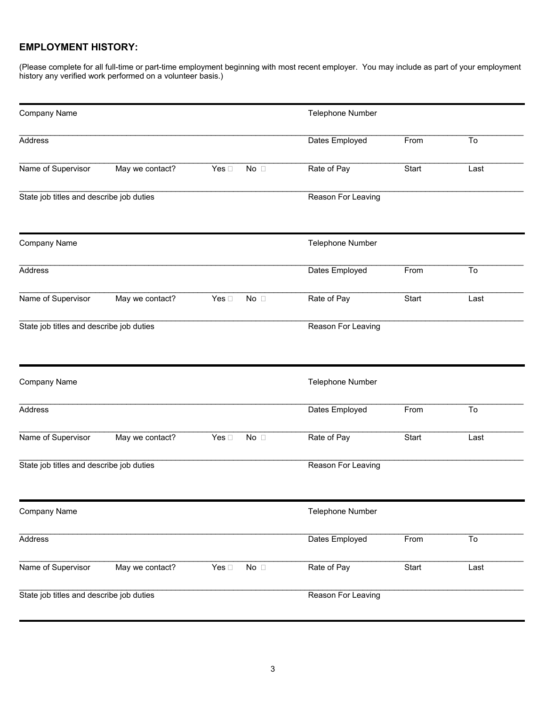### **EMPLOYMENT HISTORY:**

(Please complete for all full-time or part-time employment beginning with most recent employer. You may include as part of your employment history any verified work performed on a volunteer basis.)

| Company Name                             |                 |               |                    | Telephone Number   |       |      |
|------------------------------------------|-----------------|---------------|--------------------|--------------------|-------|------|
| Address                                  |                 |               |                    | Dates Employed     | From  | To   |
| Name of Supervisor                       | May we contact? | Yes $\square$ | $No$ $\Box$        | Rate of Pay        | Start | Last |
| State job titles and describe job duties |                 |               |                    | Reason For Leaving |       |      |
| Company Name                             |                 |               |                    | Telephone Number   |       |      |
| Address                                  |                 |               |                    | Dates Employed     | From  | To   |
| Name of Supervisor                       | May we contact? | Yes $\square$ | No $\square$       | Rate of Pay        | Start | Last |
| State job titles and describe job duties |                 |               |                    | Reason For Leaving |       |      |
| Company Name                             |                 |               |                    | Telephone Number   |       |      |
| Address                                  |                 |               |                    | Dates Employed     | From  | To   |
| Name of Supervisor                       | May we contact? | Yes $\square$ | $No$ $\Box$        | Rate of Pay        | Start | Last |
| State job titles and describe job duties |                 |               |                    | Reason For Leaving |       |      |
| Company Name                             |                 |               |                    | Telephone Number   |       |      |
| Address                                  |                 |               |                    | Dates Employed     | From  | To   |
| Name of Supervisor                       | May we contact? | Yes $\Box$    | No $\Box$          | Rate of Pay        | Start | Last |
| State job titles and describe job duties |                 |               | Reason For Leaving |                    |       |      |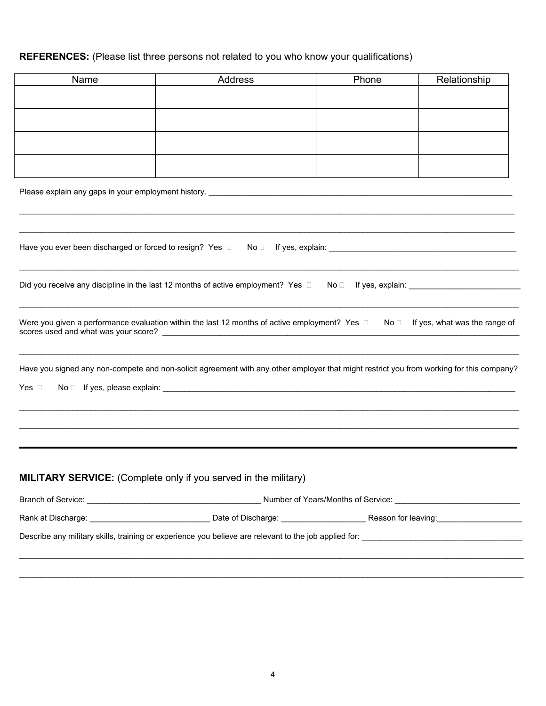# **REFERENCES:** (Please list three persons not related to you who know your qualifications)

| Please explain any gaps in your employment history. <b>Example 2018 12:30 Fig. 2018</b> 2019 12:41 Fig. 2019                                  |  |      |                                         |  |  |
|-----------------------------------------------------------------------------------------------------------------------------------------------|--|------|-----------------------------------------|--|--|
|                                                                                                                                               |  |      |                                         |  |  |
|                                                                                                                                               |  |      |                                         |  |  |
|                                                                                                                                               |  |      |                                         |  |  |
|                                                                                                                                               |  |      |                                         |  |  |
|                                                                                                                                               |  |      |                                         |  |  |
|                                                                                                                                               |  |      |                                         |  |  |
|                                                                                                                                               |  |      |                                         |  |  |
|                                                                                                                                               |  |      |                                         |  |  |
|                                                                                                                                               |  |      |                                         |  |  |
| Have you ever been discharged or forced to resign? Yes D                                                                                      |  |      |                                         |  |  |
|                                                                                                                                               |  |      | $No \Box$ If yes, explain: $\Box$       |  |  |
|                                                                                                                                               |  |      |                                         |  |  |
| Did you receive any discipline in the last 12 months of active employment? Yes $\Box$                                                         |  | No ⊡ |                                         |  |  |
|                                                                                                                                               |  |      |                                         |  |  |
| Were you given a performance evaluation within the last 12 months of active employment? Yes $\square$<br>scores used and what was your score? |  |      | $No \Box$ If yes, what was the range of |  |  |
|                                                                                                                                               |  |      |                                         |  |  |
| Have you signed any non-compete and non-solicit agreement with any other employer that might restrict you from working for this company?      |  |      |                                         |  |  |
| $No \Box$ If yes, please explain: $\Box$<br>Yes $\square$                                                                                     |  |      |                                         |  |  |
|                                                                                                                                               |  |      |                                         |  |  |
|                                                                                                                                               |  |      |                                         |  |  |
|                                                                                                                                               |  |      |                                         |  |  |
|                                                                                                                                               |  |      |                                         |  |  |
|                                                                                                                                               |  |      |                                         |  |  |
| <b>MILITARY SERVICE:</b> (Complete only if you served in the military)                                                                        |  |      |                                         |  |  |
|                                                                                                                                               |  |      |                                         |  |  |
|                                                                                                                                               |  |      |                                         |  |  |
|                                                                                                                                               |  |      |                                         |  |  |
|                                                                                                                                               |  |      |                                         |  |  |